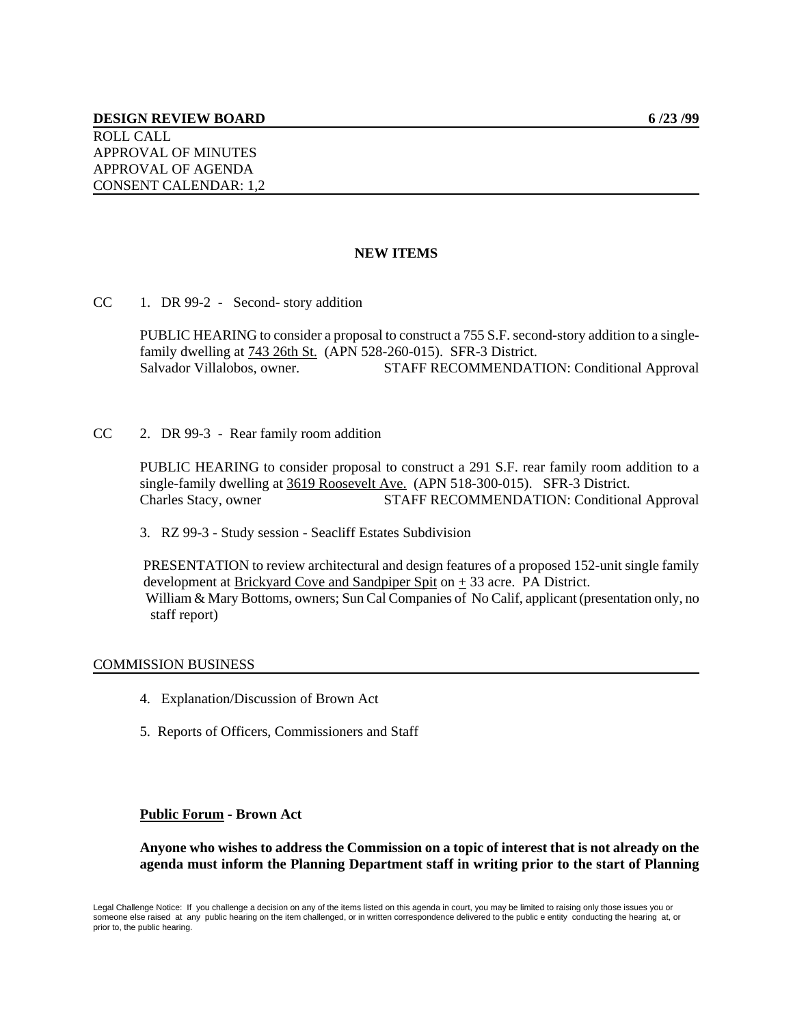# **NEW ITEMS**

CC 1. DR 99-2 - Second- story addition

PUBLIC HEARING to consider a proposal to construct a 755 S.F. second-story addition to a singlefamily dwelling at 743 26th St. (APN 528-260-015). SFR-3 District. Salvador Villalobos, owner. STAFF RECOMMENDATION: Conditional Approval

CC 2. DR 99-3 - Rear family room addition

PUBLIC HEARING to consider proposal to construct a 291 S.F. rear family room addition to a single-family dwelling at 3619 Roosevelt Ave. (APN 518-300-015). SFR-3 District. Charles Stacy, owner STAFF RECOMMENDATION: Conditional Approval

3. RZ 99-3 - Study session - Seacliff Estates Subdivision

 PRESENTATION to review architectural and design features of a proposed 152-unit single family development at Brickyard Cove and Sandpiper Spit on  $\pm$  33 acre. PA District. William & Mary Bottoms, owners; Sun Cal Companies of No Calif, applicant (presentation only, no staff report)

### COMMISSION BUSINESS

- 4. Explanation/Discussion of Brown Act
- 5. Reports of Officers, Commissioners and Staff

# **Public Forum - Brown Act**

**Anyone who wishes to address the Commission on a topic of interest that is not already on the agenda must inform the Planning Department staff in writing prior to the start of Planning**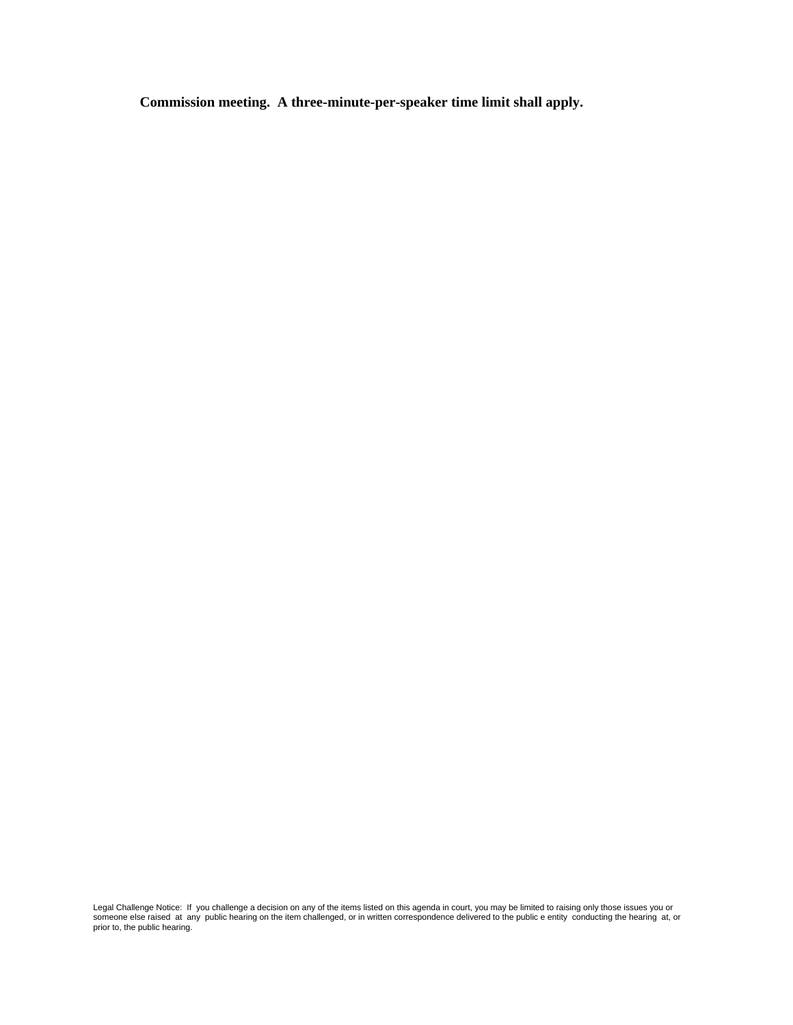**Commission meeting. A three-minute-per-speaker time limit shall apply.**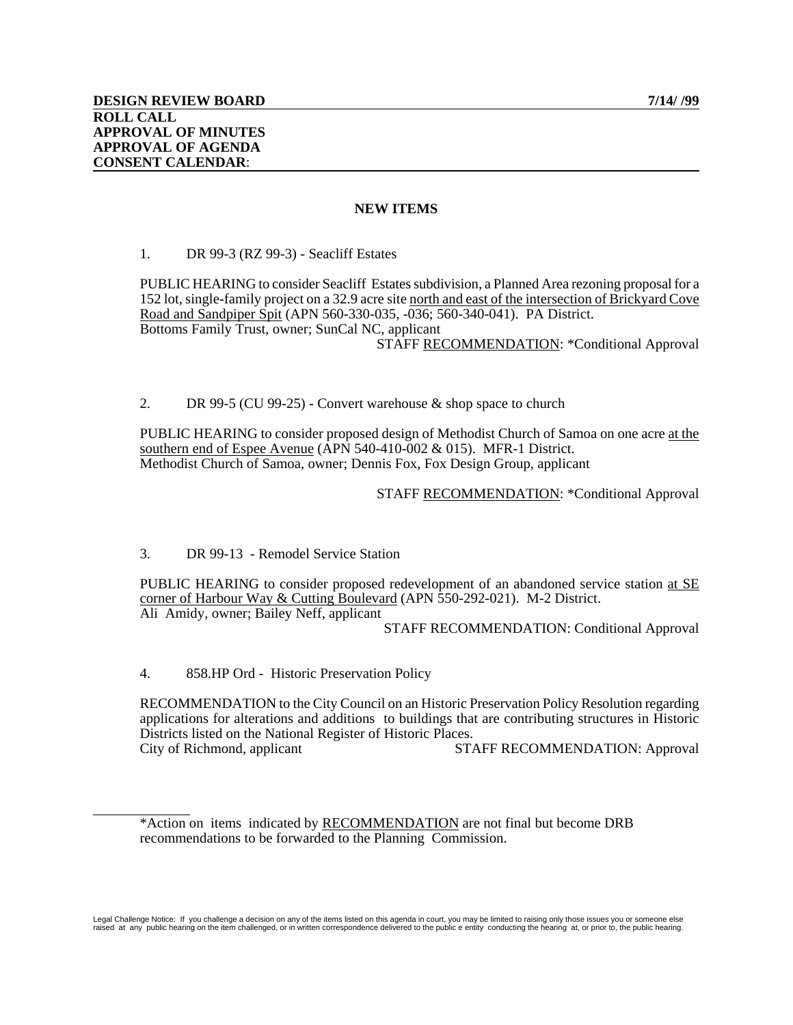### **NEW ITEMS**

1. DR 99-3 (RZ 99-3) - Seacliff Estates

PUBLIC HEARING to consider Seacliff Estates subdivision, a Planned Area rezoning proposal for a 152 lot, single-family project on a 32.9 acre site north and east of the intersection of Brickyard Cove Road and Sandpiper Spit (APN 560-330-035, -036; 560-340-041). PA District. Bottoms Family Trust, owner; SunCal NC, applicant STAFF RECOMMENDATION: \*Conditional Approval

2. DR 99-5 (CU 99-25) - Convert warehouse & shop space to church

PUBLIC HEARING to consider proposed design of Methodist Church of Samoa on one acre at the southern end of Espee Avenue (APN 540-410-002 & 015). MFR-1 District. Methodist Church of Samoa, owner; Dennis Fox, Fox Design Group, applicant

#### STAFF RECOMMENDATION: \*Conditional Approval

3. DR 99-13 - Remodel Service Station

PUBLIC HEARING to consider proposed redevelopment of an abandoned service station at SE corner of Harbour Way & Cutting Boulevard (APN 550-292-021). M-2 District. Ali Amidy, owner; Bailey Neff, applicant

STAFF RECOMMENDATION: Conditional Approval

4. 858.HP Ord - Historic Preservation Policy

 $\overline{a}$ 

RECOMMENDATION to the City Council on an Historic Preservation Policy Resolution regarding applications for alterations and additions to buildings that are contributing structures in Historic Districts listed on the National Register of Historic Places. City of Richmond, applicant STAFF RECOMMENDATION: Approval

<sup>\*</sup>Action on items indicated by RECOMMENDATION are not final but become DRB recommendations to be forwarded to the Planning Commission.

Legal Challenge Notice: If you challenge a decision on any of the items listed on this agenda in court, you may be limited to raising only those issues you or someone else<br>raised at any public hearing on the item challenge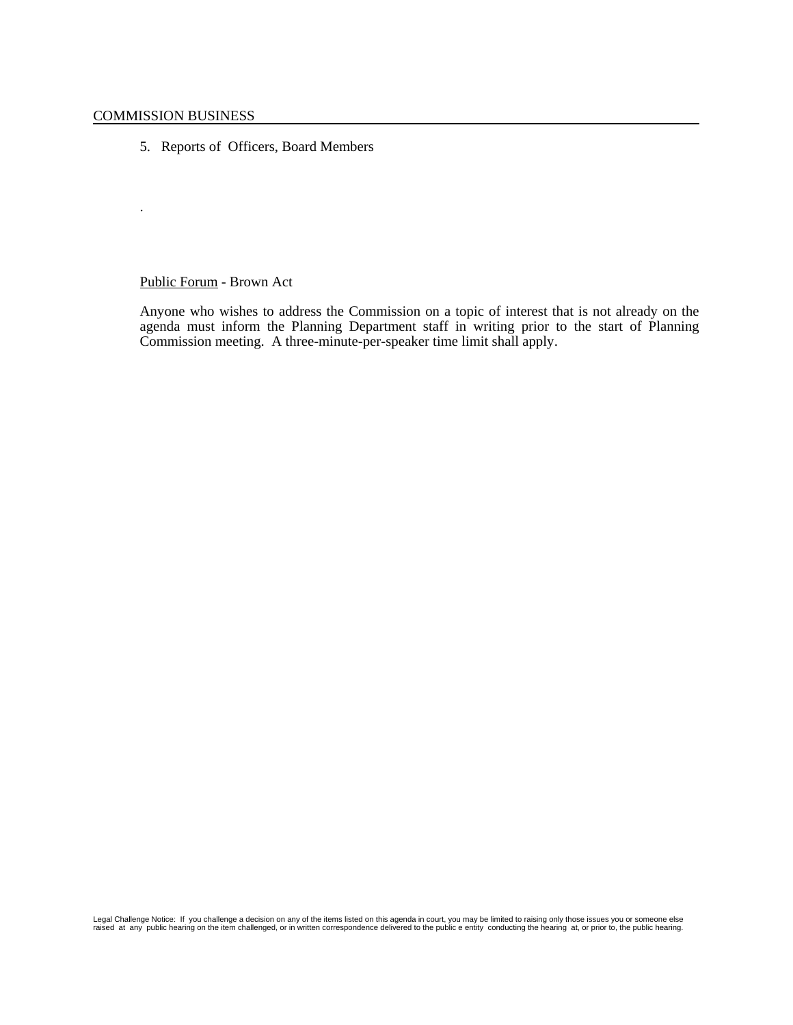.

5. Reports of Officers, Board Members

Public Forum - Brown Act

Anyone who wishes to address the Commission on a topic of interest that is not already on the agenda must inform the Planning Department staff in writing prior to the start of Planning Commission meeting. A three-minute-per-speaker time limit shall apply.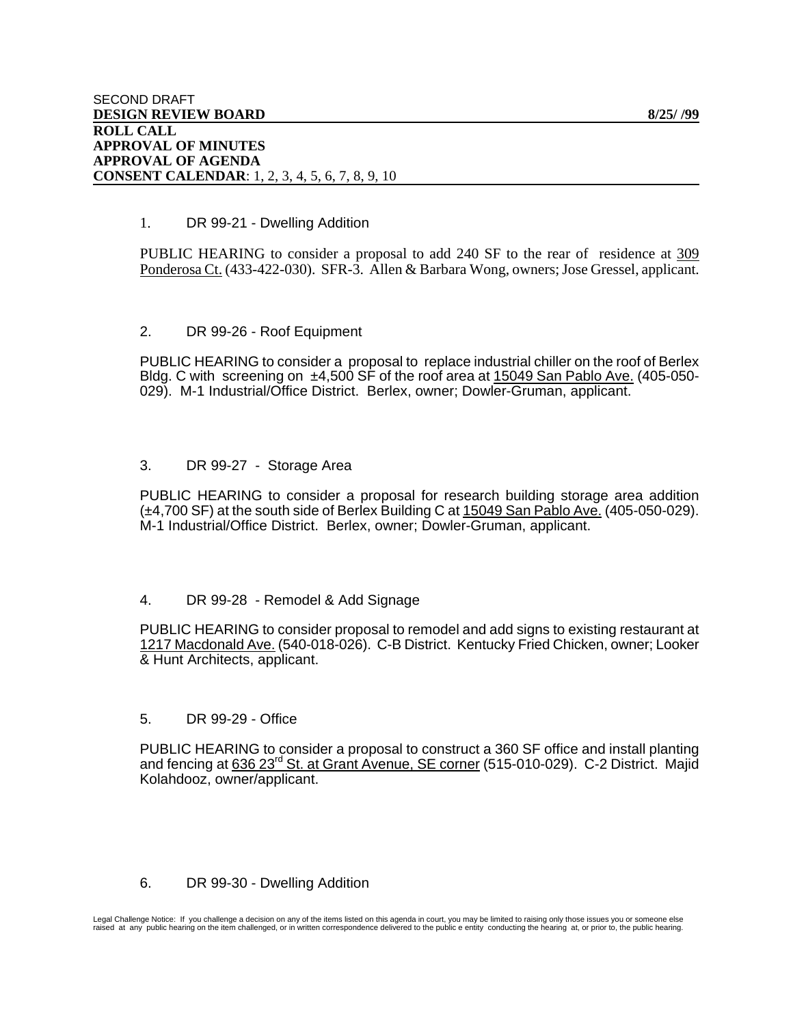# 1. DR 99-21 - Dwelling Addition

PUBLIC HEARING to consider a proposal to add 240 SF to the rear of residence at 309 Ponderosa Ct. (433-422-030). SFR-3. Allen & Barbara Wong, owners; Jose Gressel, applicant.

## 2. DR 99-26 - Roof Equipment

PUBLIC HEARING to consider a proposal to replace industrial chiller on the roof of Berlex Bldg. C with screening on  $\pm 4,500$  SF of the roof area at 15049 San Pablo Ave. (405-050-029). M-1 Industrial/Office District. Berlex, owner; Dowler-Gruman, applicant.

## 3. DR 99-27 - Storage Area

PUBLIC HEARING to consider a proposal for research building storage area addition (±4,700 SF) at the south side of Berlex Building C at 15049 San Pablo Ave. (405-050-029). M-1 Industrial/Office District. Berlex, owner; Dowler-Gruman, applicant.

# 4. DR 99-28 - Remodel & Add Signage

PUBLIC HEARING to consider proposal to remodel and add signs to existing restaurant at 1217 Macdonald Ave. (540-018-026). C-B District. Kentucky Fried Chicken, owner; Looker & Hunt Architects, applicant.

### 5. DR 99-29 - Office

PUBLIC HEARING to consider a proposal to construct a 360 SF office and install planting and fencing at 636 23<sup>rd</sup> St. at Grant Avenue, SE corner (515-010-029). C-2 District. Majid Kolahdooz, owner/applicant.

# 6. DR 99-30 - Dwelling Addition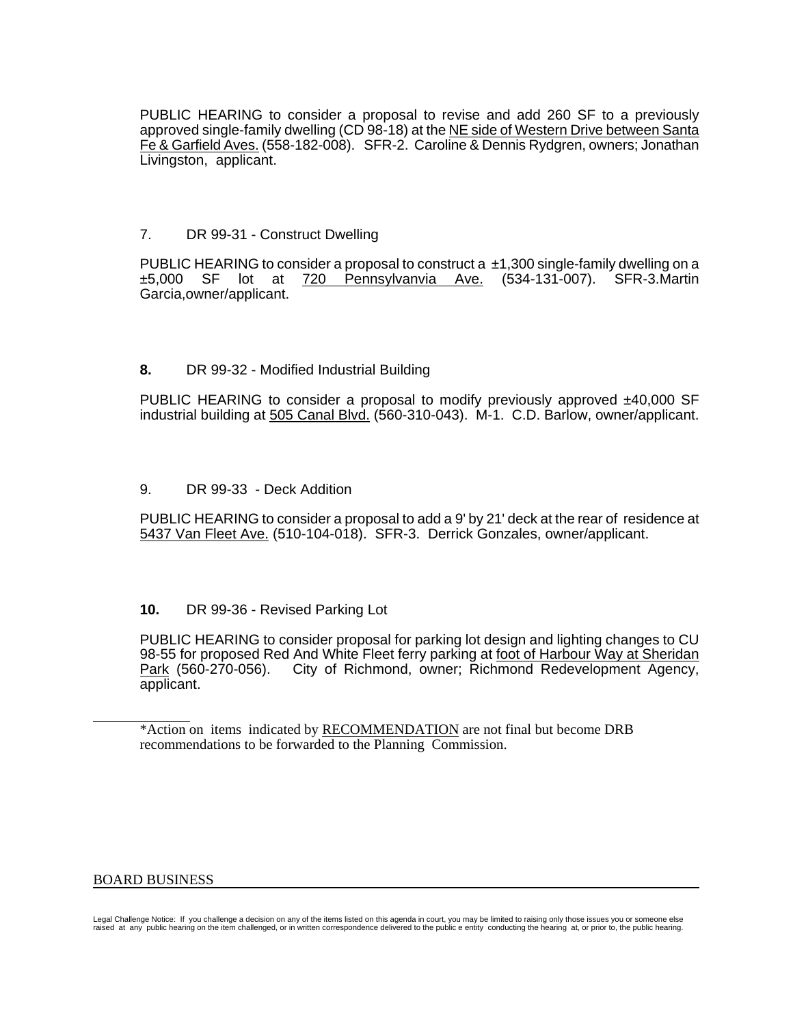PUBLIC HEARING to consider a proposal to revise and add 260 SF to a previously approved single-family dwelling (CD 98-18) at the NE side of Western Drive between Santa Fe & Garfield Aves. (558-182-008). SFR-2. Caroline & Dennis Rydgren, owners; Jonathan Livingston, applicant.

# 7. DR 99-31 - Construct Dwelling

PUBLIC HEARING to consider a proposal to construct  $a \pm 1,300$  single-family dwelling on a ±5,000 SF lot at 720 Pennsylvanvia Ave. (534-131-007). SFR-3.Martin Garcia,owner/applicant.

## **8.** DR 99-32 - Modified Industrial Building

PUBLIC HEARING to consider a proposal to modify previously approved  $±40,000$  SF industrial building at 505 Canal Blvd. (560-310-043).M-1. C.D. Barlow, owner/applicant.

### 9. DR 99-33 - Deck Addition

PUBLIC HEARING to consider a proposal to add a 9' by 21' deck at the rear of residence at 5437 Van Fleet Ave. (510-104-018).SFR-3. Derrick Gonzales, owner/applicant.

# **10.** DR 99-36 - Revised Parking Lot

PUBLIC HEARING to consider proposal for parking lot design and lighting changes to CU 98-55 for proposed Red And White Fleet ferry parking at foot of Harbour Way at Sheridan Park (560-270-056). City of Richmond, owner; Richmond Redevelopment Agency, applicant.

### BOARD BUSINESS

l

<sup>\*</sup>Action on items indicated by RECOMMENDATION are not final but become DRB recommendations to be forwarded to the Planning Commission.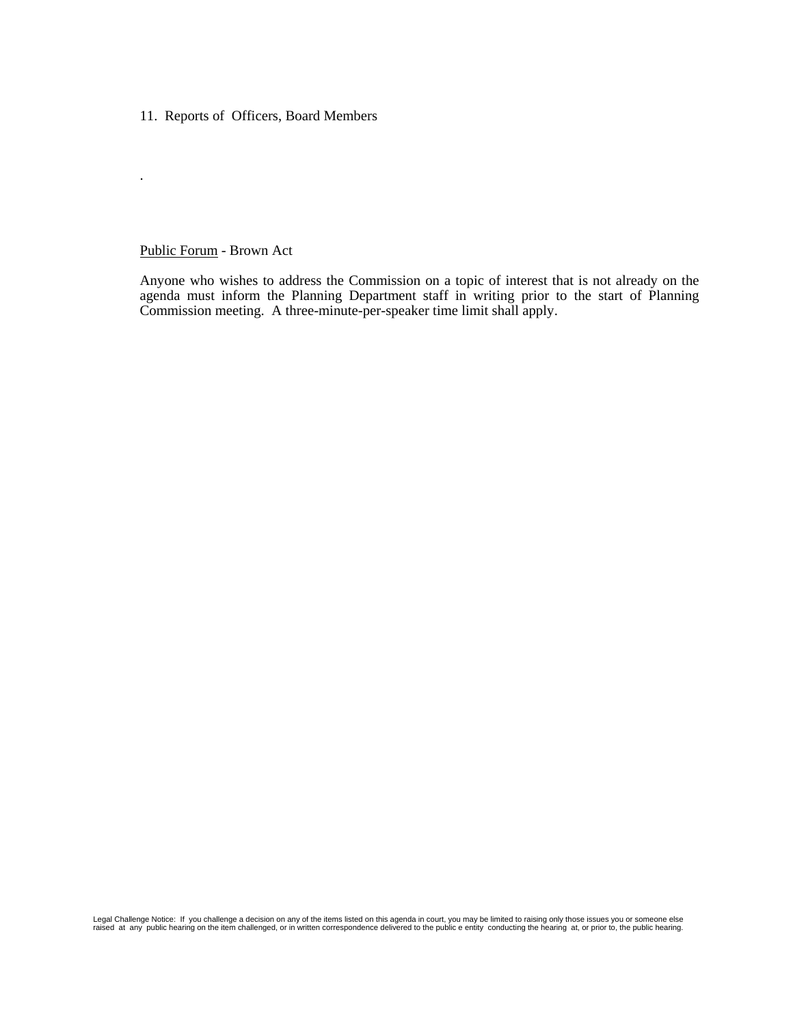11. Reports of Officers, Board Members

#### Public Forum - Brown Act

.

Anyone who wishes to address the Commission on a topic of interest that is not already on the agenda must inform the Planning Department staff in writing prior to the start of Planning Commission meeting. A three-minute-per-speaker time limit shall apply.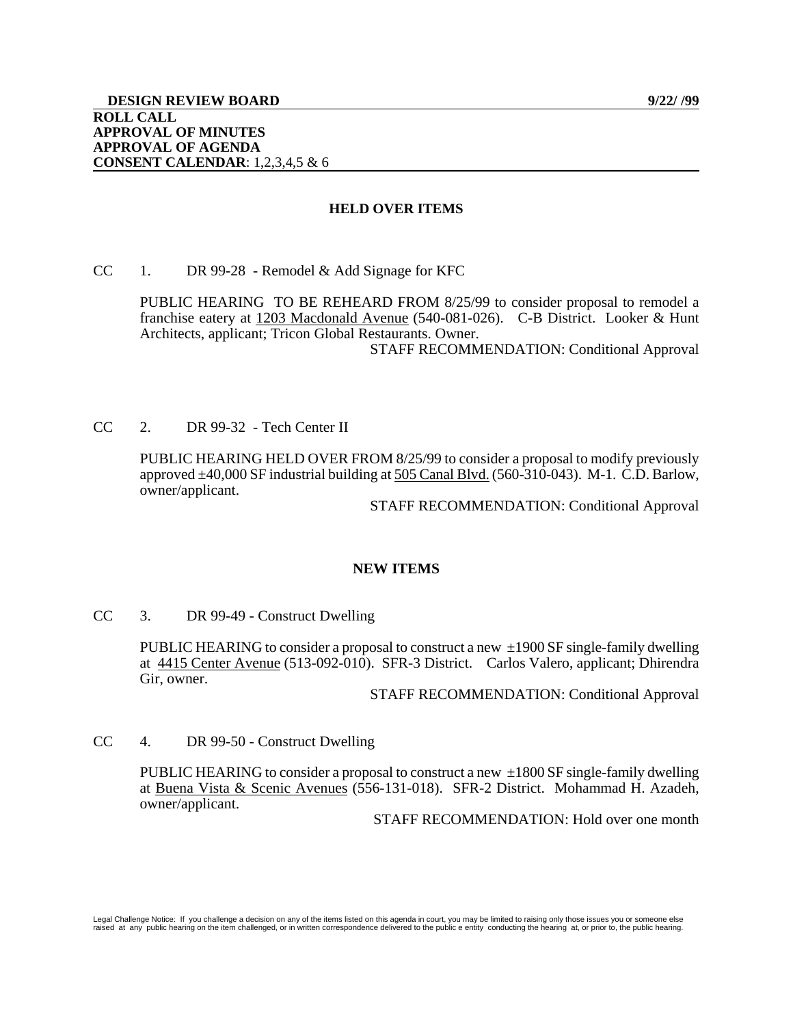## **HELD OVER ITEMS**

CC 1. DR 99-28 - Remodel  $&$  Add Signage for KFC

PUBLIC HEARING TO BE REHEARD FROM 8/25/99 to consider proposal to remodel a franchise eatery at 1203 Macdonald Avenue (540-081-026). C-B District. Looker & Hunt Architects, applicant; Tricon Global Restaurants. Owner. STAFF RECOMMENDATION: Conditional Approval

CC 2. DR 99-32 - Tech Center II

PUBLIC HEARING HELD OVER FROM 8/25/99 to consider a proposal to modify previously approved ±40,000 SF industrial building at 505 Canal Blvd. (560-310-043).M-1. C.D. Barlow, owner/applicant.

STAFF RECOMMENDATION: Conditional Approval

### **NEW ITEMS**

CC 3. DR 99-49 - Construct Dwelling

PUBLIC HEARING to consider a proposal to construct a new  $\pm 1900$  SF single-family dwelling at 4415 Center Avenue (513-092-010). SFR-3 District. Carlos Valero, applicant; Dhirendra Gir, owner.

STAFF RECOMMENDATION: Conditional Approval

CC 4. DR 99-50 - Construct Dwelling

PUBLIC HEARING to consider a proposal to construct a new  $\pm 1800$  SF single-family dwelling at Buena Vista & Scenic Avenues (556-131-018). SFR-2 District. Mohammad H. Azadeh, owner/applicant.

STAFF RECOMMENDATION: Hold over one month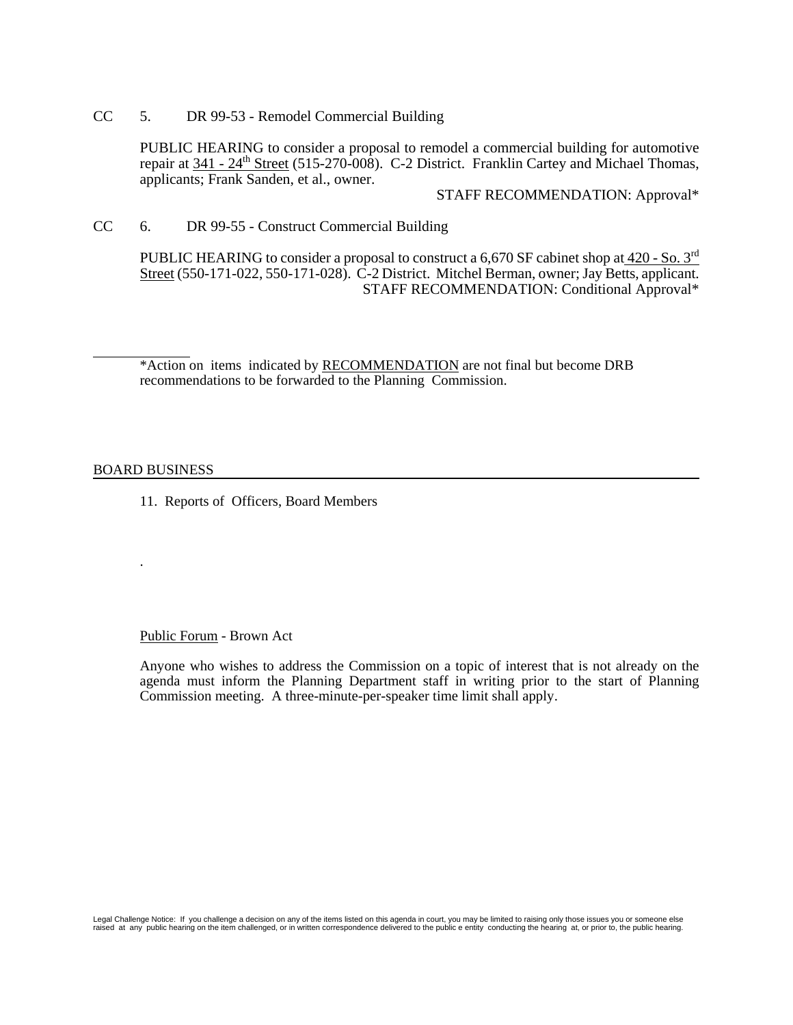CC 5. DR 99-53 - Remodel Commercial Building

PUBLIC HEARING to consider a proposal to remodel a commercial building for automotive repair at  $341 - 24$ <sup>th</sup> Street (515-270-008). C-2 District. Franklin Cartey and Michael Thomas, applicants; Frank Sanden, et al., owner.

STAFF RECOMMENDATION: Approval\*

CC 6. DR 99-55 - Construct Commercial Building

PUBLIC HEARING to consider a proposal to construct a 6,670 SF cabinet shop at 420 - So. 3<sup>rd</sup> Street (550-171-022, 550-171-028). C-2 District. Mitchel Berman, owner; Jay Betts, applicant. STAFF RECOMMENDATION: Conditional Approval\*

\*Action on items indicated by RECOMMENDATION are not final but become DRB recommendations to be forwarded to the Planning Commission.

#### BOARD BUSINESS

.

l

11. Reports of Officers, Board Members

#### Public Forum - Brown Act

Anyone who wishes to address the Commission on a topic of interest that is not already on the agenda must inform the Planning Department staff in writing prior to the start of Planning Commission meeting. A three-minute-per-speaker time limit shall apply.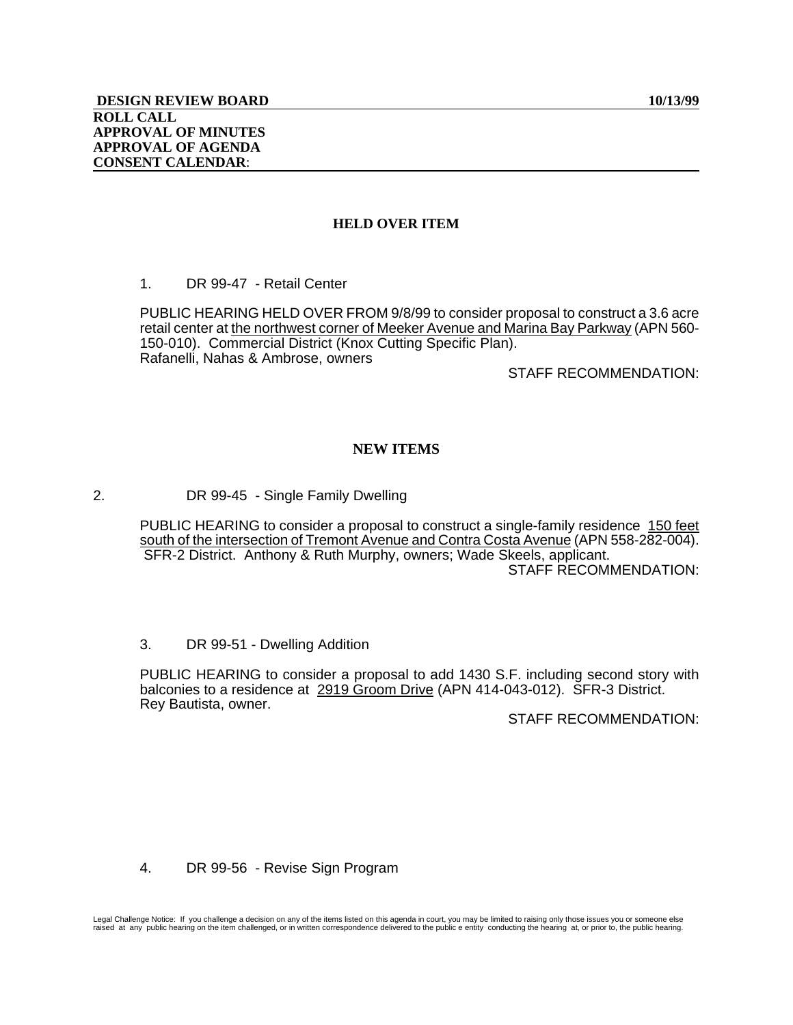# **HELD OVER ITEM**

1. DR 99-47 - Retail Center

PUBLIC HEARING HELD OVER FROM 9/8/99 to consider proposal to construct a 3.6 acre retail center at the northwest corner of Meeker Avenue and Marina Bay Parkway (APN 560- 150-010). Commercial District (Knox Cutting Specific Plan). Rafanelli, Nahas & Ambrose, owners

STAFF RECOMMENDATION:

# **NEW ITEMS**

2. DR 99-45 - Single Family Dwelling

 PUBLIC HEARING to consider a proposal to construct a single-family residence 150 feet south of the intersection of Tremont Avenue and Contra Costa Avenue (APN 558-282-004). SFR-2 District. Anthony & Ruth Murphy, owners; Wade Skeels, applicant. STAFF RECOMMENDATION:

3. DR 99-51 - Dwelling Addition

PUBLIC HEARING to consider a proposal to add 1430 S.F. including second story with balconies to a residence at 2919 Groom Drive (APN 414-043-012). SFR-3 District. Rey Bautista, owner.

STAFF RECOMMENDATION:

4. DR 99-56 - Revise Sign Program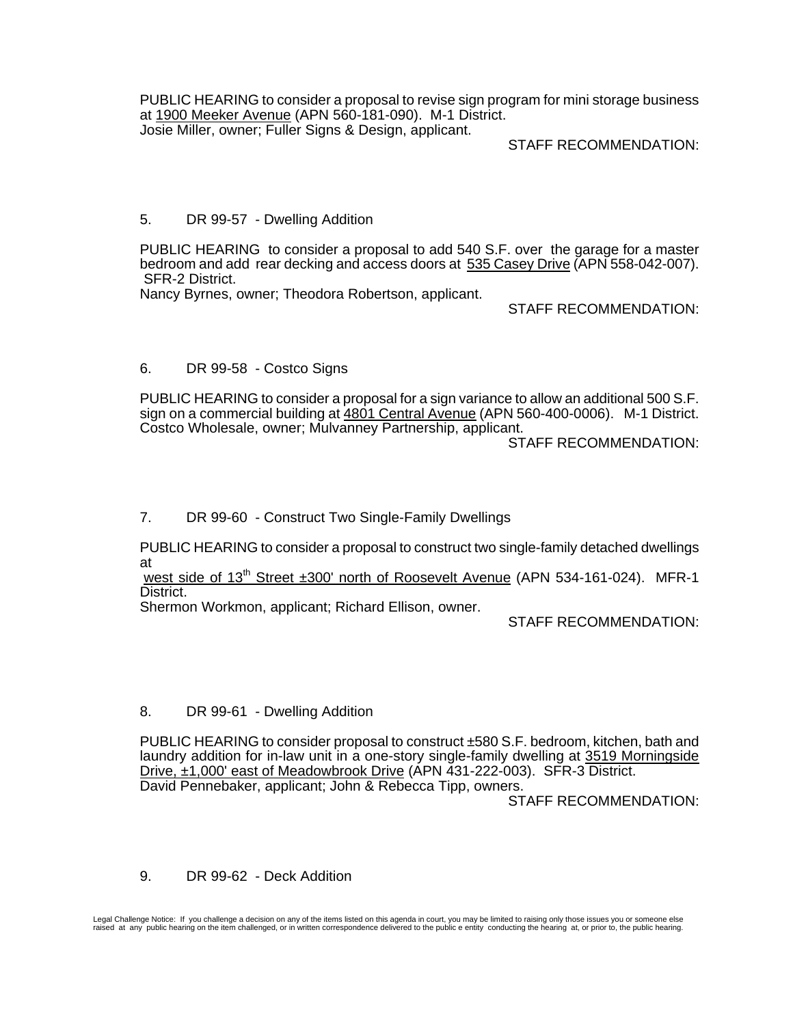PUBLIC HEARING to consider a proposal to revise sign program for mini storage business at 1900 Meeker Avenue (APN 560-181-090). M-1 District. Josie Miller, owner; Fuller Signs & Design, applicant.

# STAFF RECOMMENDATION:

# 5. DR 99-57 - Dwelling Addition

PUBLIC HEARING to consider a proposal to add 540 S.F. over the garage for a master bedroom and add rear decking and access doors at 535 Casey Drive (APN 558-042-007). SFR-2 District.

Nancy Byrnes, owner; Theodora Robertson, applicant.

STAFF RECOMMENDATION:

# 6. DR 99-58 - Costco Signs

PUBLIC HEARING to consider a proposal for a sign variance to allow an additional 500 S.F. sign on a commercial building at 4801 Central Avenue (APN 560-400-0006). M-1 District. Costco Wholesale, owner; Mulvanney Partnership, applicant.

STAFF RECOMMENDATION:

# 7. DR 99-60 - Construct Two Single-Family Dwellings

PUBLIC HEARING to consider a proposal to construct two single-family detached dwellings at

west side of 13<sup>th</sup> Street ±300' north of Roosevelt Avenue (APN 534-161-024). MFR-1 District.

Shermon Workmon, applicant; Richard Ellison, owner.

STAFF RECOMMENDATION:

# 8. DR 99-61 - Dwelling Addition

PUBLIC HEARING to consider proposal to construct ±580 S.F. bedroom, kitchen, bath and laundry addition for in-law unit in a one-story single-family dwelling at 3519 Morningside Drive, ±1,000' east of Meadowbrook Drive (APN 431-222-003). SFR-3 District. David Pennebaker, applicant; John & Rebecca Tipp, owners.

STAFF RECOMMENDATION:

# 9. DR 99-62 - Deck Addition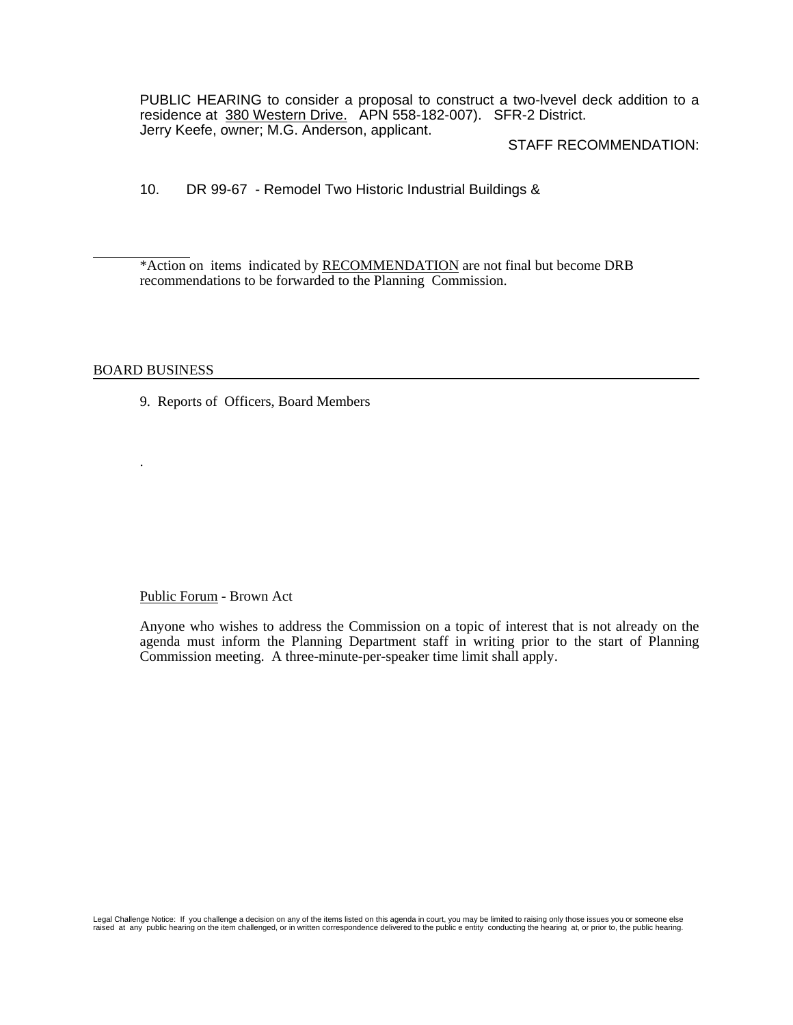PUBLIC HEARING to consider a proposal to construct a two-lvevel deck addition to a residence at 380 Western Drive. APN 558-182-007). SFR-2 District. Jerry Keefe, owner; M.G. Anderson, applicant.

## STAFF RECOMMENDATION:

10. DR 99-67 - Remodel Two Historic Industrial Buildings &

\*Action on items indicated by RECOMMENDATION are not final but become DRB recommendations to be forwarded to the Planning Commission.

### BOARD BUSINESS

.

l

9. Reports of Officers, Board Members

Public Forum - Brown Act

Anyone who wishes to address the Commission on a topic of interest that is not already on the agenda must inform the Planning Department staff in writing prior to the start of Planning Commission meeting. A three-minute-per-speaker time limit shall apply.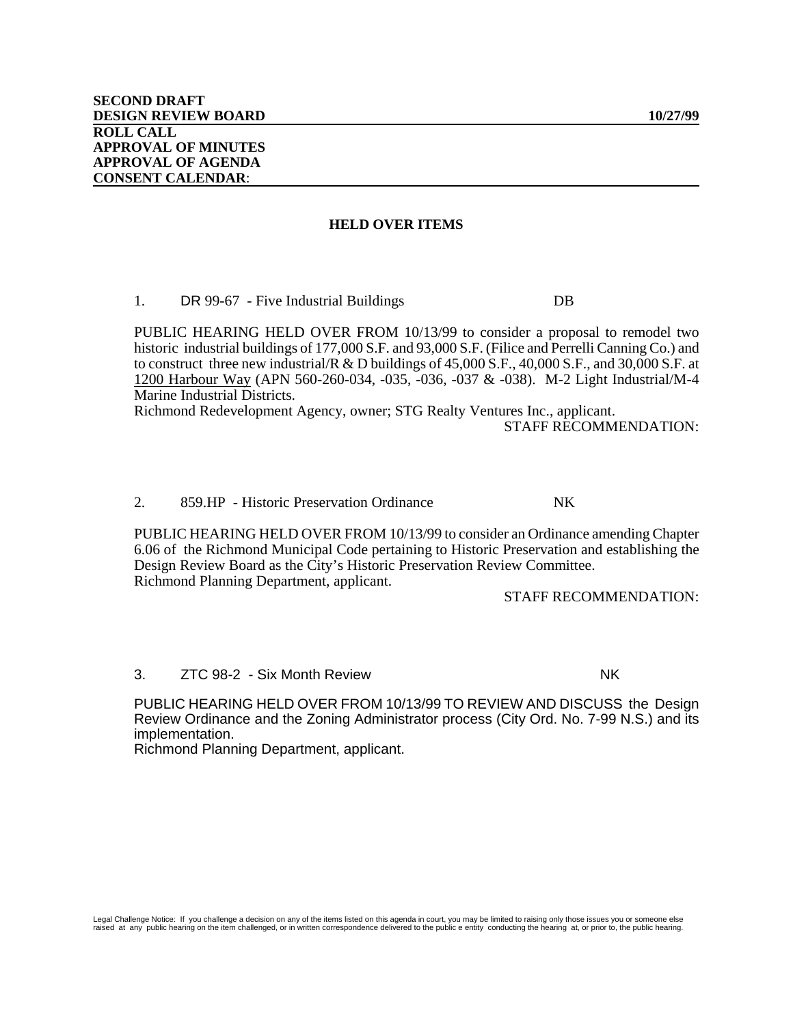#### **HELD OVER ITEMS**

1. DR 99-67 - Five Industrial Buildings DB

PUBLIC HEARING HELD OVER FROM 10/13/99 to consider a proposal to remodel two historic industrial buildings of 177,000 S.F. and 93,000 S.F. (Filice and Perrelli Canning Co.) and to construct three new industrial/ $R \& D$  buildings of 45,000 S.F., 40,000 S.F., and 30,000 S.F. at 1200 Harbour Way (APN 560-260-034, -035, -036, -037 & -038). M-2 Light Industrial/M-4 Marine Industrial Districts.

Richmond Redevelopment Agency, owner; STG Realty Ventures Inc., applicant.

STAFF RECOMMENDATION:

#### 2. 859.HP - Historic Preservation Ordinance NK

PUBLIC HEARING HELD OVER FROM 10/13/99 to consider an Ordinance amending Chapter 6.06 of the Richmond Municipal Code pertaining to Historic Preservation and establishing the Design Review Board as the City's Historic Preservation Review Committee. Richmond Planning Department, applicant.

STAFF RECOMMENDATION:

3. ZTC 98-2 - Six Month Review NK

PUBLIC HEARING HELD OVER FROM 10/13/99 TO REVIEW AND DISCUSS the Design Review Ordinance and the Zoning Administrator process (City Ord. No. 7-99 N.S.) and its implementation.

Richmond Planning Department, applicant.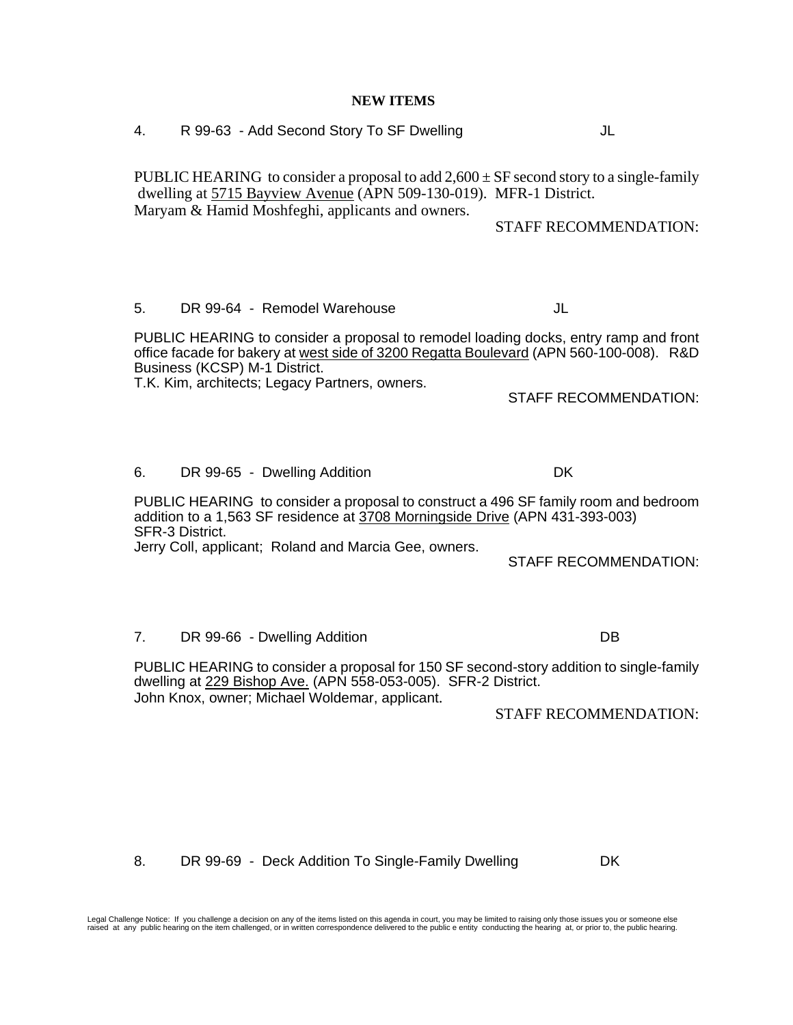**NEW ITEMS** 4. R 99-63 - Add Second Story To SF Dwelling JL PUBLIC HEARING to consider a proposal to add  $2,600 \pm SF$  second story to a single-family dwelling at 5715 Bayview Avenue (APN 509-130-019). MFR-1 District. Maryam & Hamid Moshfeghi, applicants and owners. STAFF RECOMMENDATION: 5. DR 99-64 - Remodel Warehouse JL PUBLIC HEARING to consider a proposal to remodel loading docks, entry ramp and front office facade for bakery at west side of 3200 Regatta Boulevard (APN 560-100-008). R&D Business (KCSP) M-1 District. T.K. Kim, architects; Legacy Partners, owners. STAFF RECOMMENDATION: 6. DR 99-65 - Dwelling Addition DK PUBLIC HEARING to consider a proposal to construct a 496 SF family room and bedroom addition to a 1,563 SF residence at 3708 Morningside Drive (APN 431-393-003) SFR-3 District. Jerry Coll, applicant; Roland and Marcia Gee, owners. STAFF RECOMMENDATION: 7. DR 99-66 - Dwelling Addition DB PUBLIC HEARING to consider a proposal for 150 SF second-story addition to single-family dwelling at 229 Bishop Ave. (APN 558-053-005). SFR-2 District. John Knox, owner; Michael Woldemar, applicant. STAFF RECOMMENDATION:

Legal Challenge Notice: If you challenge a decision on any of the items listed on this agenda in court, you may be limited to raising only those issues you or someone else<br>raised at any public hearing on the item challenge

8. DR 99-69 - Deck Addition To Single-Family Dwelling DK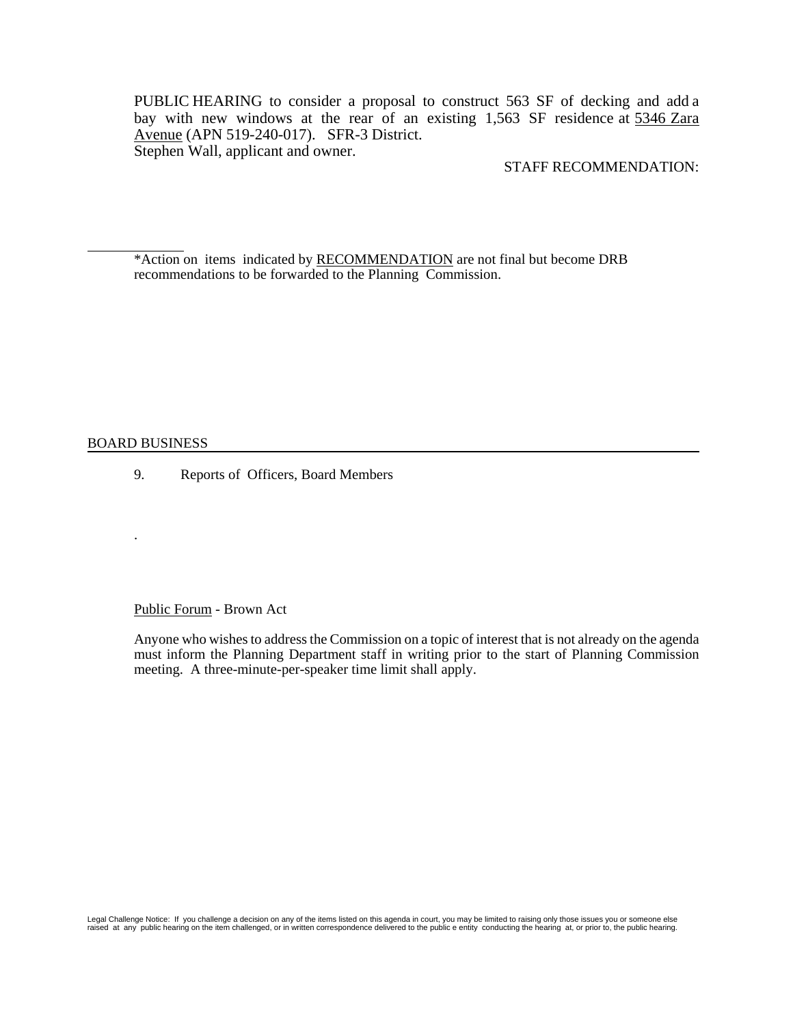PUBLIC HEARING to consider a proposal to construct 563 SF of decking and add a bay with new windows at the rear of an existing 1,563 SF residence at 5346 Zara Avenue (APN 519-240-017). SFR-3 District. Stephen Wall, applicant and owner.

## STAFF RECOMMENDATION:

\*Action on items indicated by RECOMMENDATION are not final but become DRB recommendations to be forwarded to the Planning Commission.

#### BOARD BUSINESS

.

l

9. Reports of Officers, Board Members

#### Public Forum - Brown Act

Anyone who wishes to address the Commission on a topic of interest that is not already on the agenda must inform the Planning Department staff in writing prior to the start of Planning Commission meeting. A three-minute-per-speaker time limit shall apply.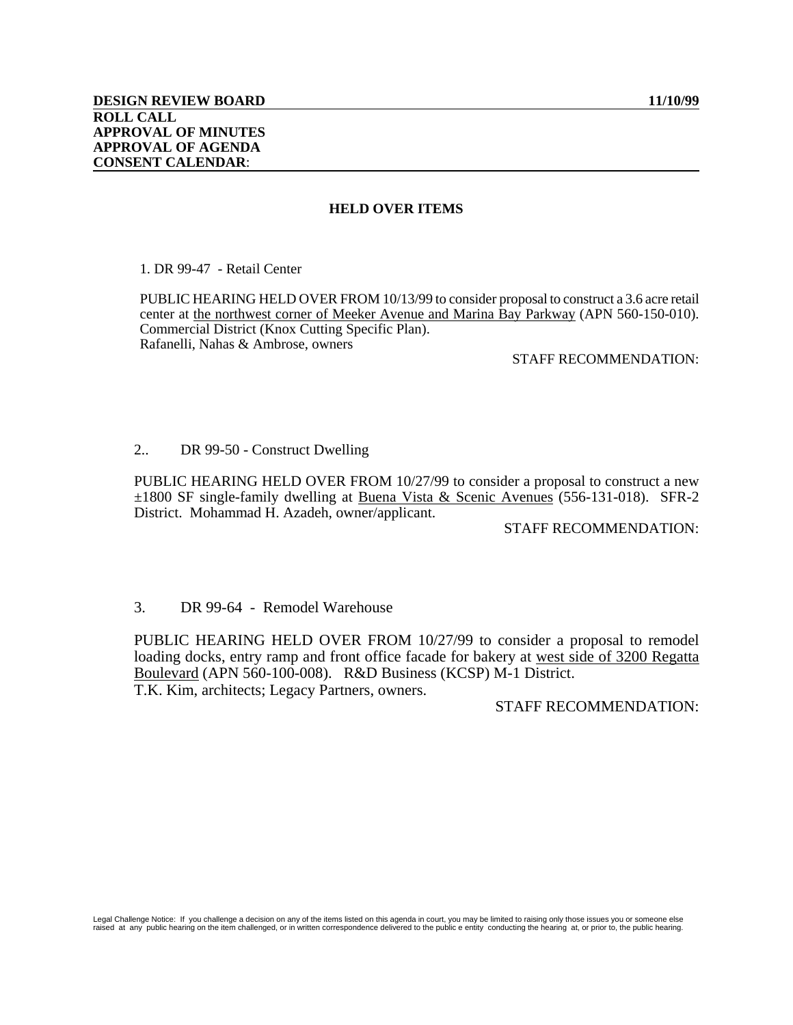# **HELD OVER ITEMS**

1. DR 99-47 - Retail Center

PUBLIC HEARING HELD OVER FROM 10/13/99 to consider proposal to construct a 3.6 acre retail center at the northwest corner of Meeker Avenue and Marina Bay Parkway (APN 560-150-010). Commercial District (Knox Cutting Specific Plan). Rafanelli, Nahas & Ambrose, owners

# STAFF RECOMMENDATION:

## 2.. DR 99-50 - Construct Dwelling

PUBLIC HEARING HELD OVER FROM 10/27/99 to consider a proposal to construct a new ±1800 SF single-family dwelling at Buena Vista & Scenic Avenues (556-131-018). SFR-2 District. Mohammad H. Azadeh, owner/applicant.

## STAFF RECOMMENDATION:

# 3. DR 99-64 - Remodel Warehouse

PUBLIC HEARING HELD OVER FROM 10/27/99 to consider a proposal to remodel loading docks, entry ramp and front office facade for bakery at west side of 3200 Regatta Boulevard (APN 560-100-008). R&D Business (KCSP) M-1 District. T.K. Kim, architects; Legacy Partners, owners.

## STAFF RECOMMENDATION: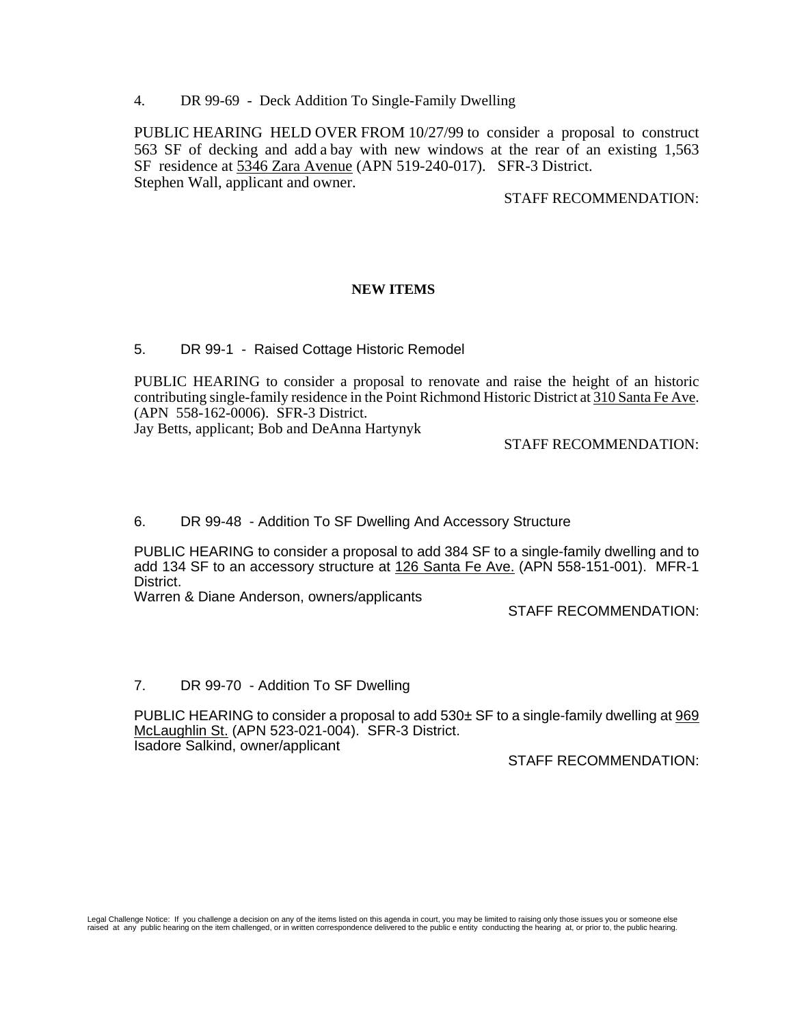4. DR 99-69 - Deck Addition To Single-Family Dwelling

PUBLIC HEARING HELD OVER FROM 10/27/99 to consider a proposal to construct 563 SF of decking and add a bay with new windows at the rear of an existing 1,563 SF residence at 5346 Zara Avenue (APN 519-240-017). SFR-3 District. Stephen Wall, applicant and owner.

# STAFF RECOMMENDATION:

## **NEW ITEMS**

## 5. DR 99-1 - Raised Cottage Historic Remodel

PUBLIC HEARING to consider a proposal to renovate and raise the height of an historic contributing single-family residence in the Point Richmond Historic District at 310 Santa Fe Ave. (APN 558-162-0006). SFR-3 District.

Jay Betts, applicant; Bob and DeAnna Hartynyk

### STAFF RECOMMENDATION:

# 6. DR 99-48 - Addition To SF Dwelling And Accessory Structure

PUBLIC HEARING to consider a proposal to add 384 SF to a single-family dwelling and to add 134 SF to an accessory structure at 126 Santa Fe Ave. (APN 558-151-001). MFR-1 District.

Warren & Diane Anderson, owners/applicants

STAFF RECOMMENDATION:

### 7. DR 99-70 - Addition To SF Dwelling

PUBLIC HEARING to consider a proposal to add  $530±$  SF to a single-family dwelling at  $969$ McLaughlin St. (APN 523-021-004). SFR-3 District. Isadore Salkind, owner/applicant

STAFF RECOMMENDATION: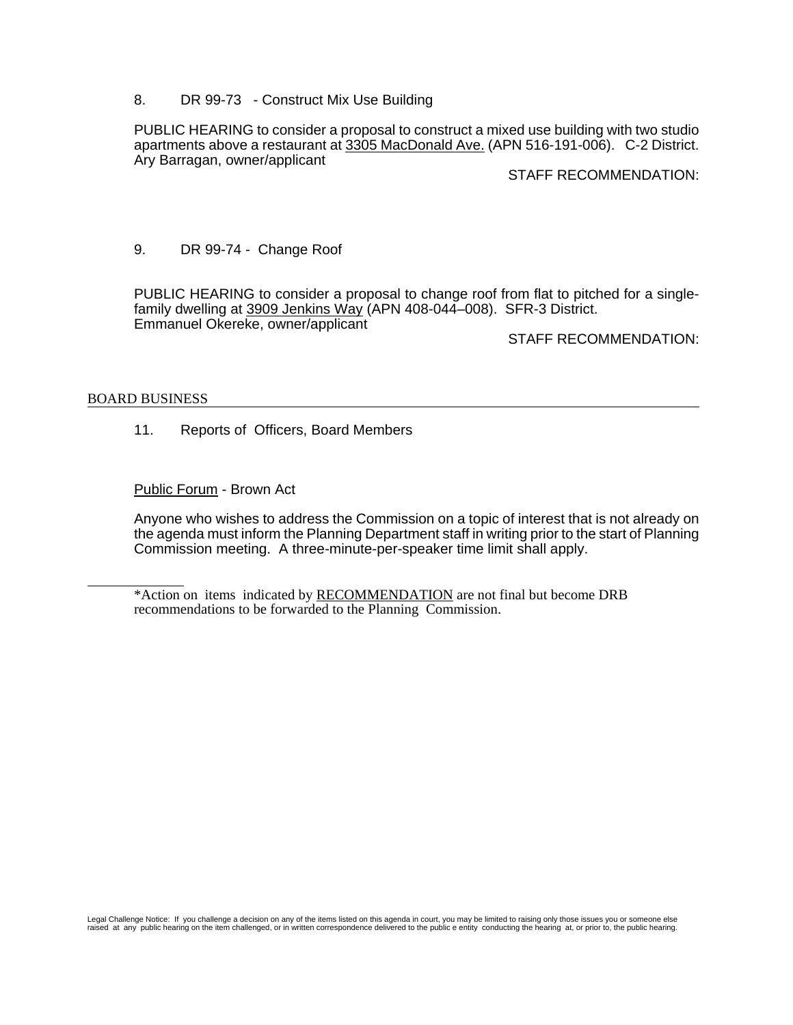8. DR 99-73 - Construct Mix Use Building

PUBLIC HEARING to consider a proposal to construct a mixed use building with two studio apartments above a restaurant at 3305 MacDonald Ave. (APN 516-191-006). C-2 District. Ary Barragan, owner/applicant

STAFF RECOMMENDATION:

9. DR 99-74 - Change Roof

PUBLIC HEARING to consider a proposal to change roof from flat to pitched for a singlefamily dwelling at 3909 Jenkins Way (APN 408-044–008). SFR-3 District. Emmanuel Okereke, owner/applicant

STAFF RECOMMENDATION:

## BOARD BUSINESS

l

11. Reports of Officers, Board Members

Public Forum - Brown Act

Anyone who wishes to address the Commission on a topic of interest that is not already on the agenda must inform the Planning Department staff in writing prior to the start of Planning Commission meeting. A three-minute-per-speaker time limit shall apply.

\*Action on items indicated by RECOMMENDATION are not final but become DRB recommendations to be forwarded to the Planning Commission.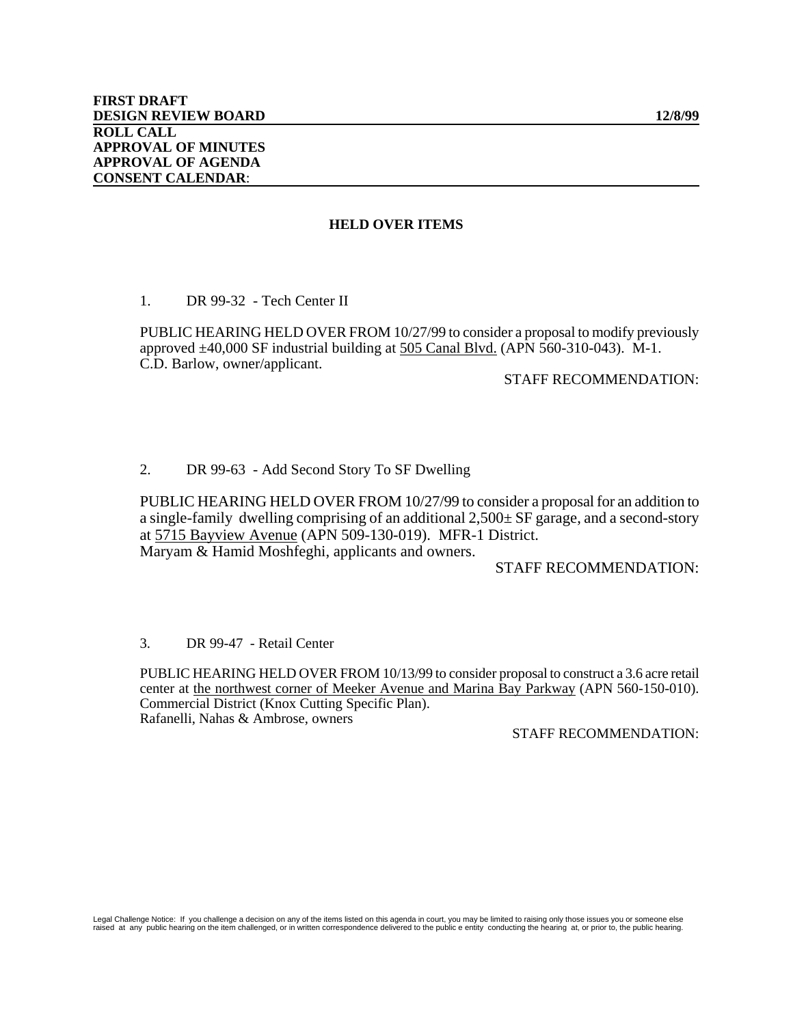#### **HELD OVER ITEMS**

1. DR 99-32 - Tech Center II

 PUBLIC HEARING HELD OVER FROM 10/27/99 to consider a proposal to modify previously approved ±40,000 SF industrial building at 505 Canal Blvd. (APN 560-310-043).M-1. C.D. Barlow, owner/applicant.

## STAFF RECOMMENDATION:

## 2. DR 99-63 - Add Second Story To SF Dwelling

 PUBLIC HEARING HELD OVER FROM 10/27/99 to consider a proposal for an addition to a single-family dwelling comprising of an additional 2,500± SF garage, and a second-story at 5715 Bayview Avenue (APN 509-130-019). MFR-1 District. Maryam & Hamid Moshfeghi, applicants and owners.

#### STAFF RECOMMENDATION:

3. DR 99-47 - Retail Center

PUBLIC HEARING HELD OVER FROM 10/13/99 to consider proposal to construct a 3.6 acre retail center at the northwest corner of Meeker Avenue and Marina Bay Parkway (APN 560-150-010). Commercial District (Knox Cutting Specific Plan). Rafanelli, Nahas & Ambrose, owners

### STAFF RECOMMENDATION: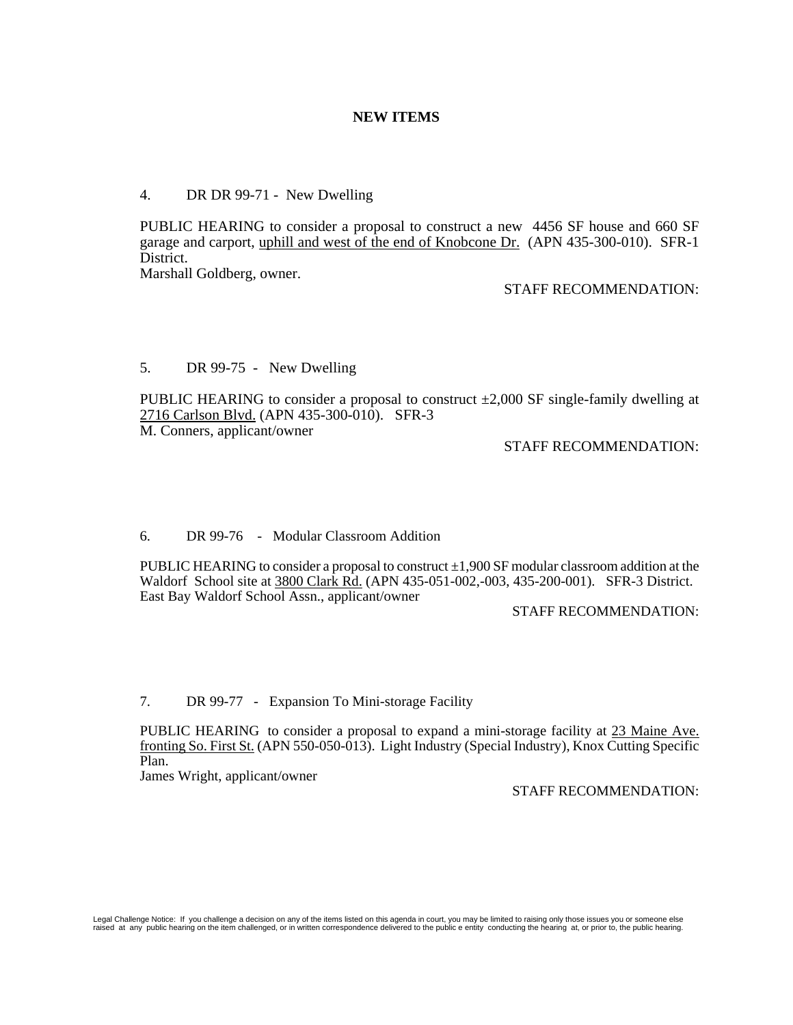# **NEW ITEMS**

# 4. DR DR 99-71 - New Dwelling

PUBLIC HEARING to consider a proposal to construct a new 4456 SF house and 660 SF garage and carport, uphill and west of the end of Knobcone Dr. (APN 435-300-010). SFR-1 District.

Marshall Goldberg, owner.

### STAFF RECOMMENDATION:

# 5. DR 99-75 - New Dwelling

PUBLIC HEARING to consider a proposal to construct  $\pm 2,000$  SF single-family dwelling at 2716 Carlson Blvd. (APN 435-300-010). SFR-3 M. Conners, applicant/owner

# STAFF RECOMMENDATION:

### 6. DR 99-76 - Modular Classroom Addition

PUBLIC HEARING to consider a proposal to construct  $\pm 1,900$  SF modular classroom addition at the Waldorf School site at 3800 Clark Rd. (APN 435-051-002,-003, 435-200-001). SFR-3 District. East Bay Waldorf School Assn., applicant/owner

## STAFF RECOMMENDATION:

7. DR 99-77 - Expansion To Mini-storage Facility

PUBLIC HEARING to consider a proposal to expand a mini-storage facility at 23 Maine Ave. fronting So. First St. (APN 550-050-013). Light Industry (Special Industry), Knox Cutting Specific Plan.

James Wright, applicant/owner

STAFF RECOMMENDATION: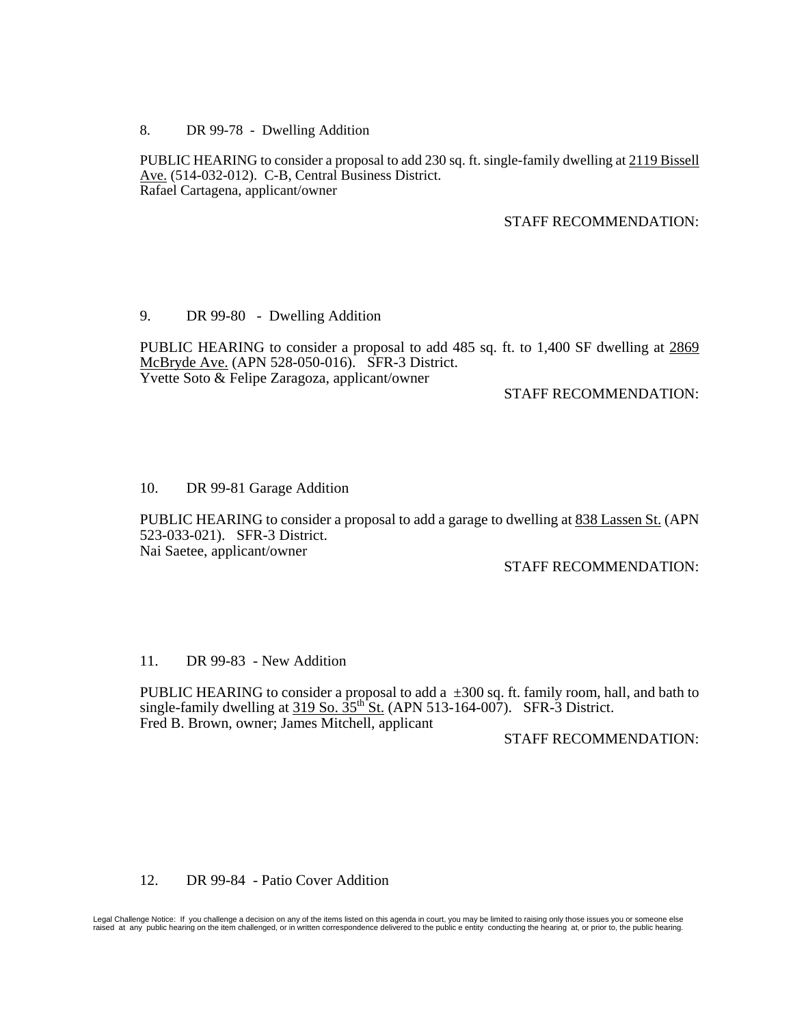8. DR 99-78 - Dwelling Addition

PUBLIC HEARING to consider a proposal to add 230 sq. ft. single-family dwelling at 2119 Bissell Ave. (514-032-012). C-B, Central Business District. Rafael Cartagena, applicant/owner

STAFF RECOMMENDATION:

## 9. DR 99-80 - Dwelling Addition

PUBLIC HEARING to consider a proposal to add 485 sq. ft. to 1,400 SF dwelling at 2869 McBryde Ave. (APN 528-050-016). SFR-3 District. Yvette Soto & Felipe Zaragoza, applicant/owner

# STAFF RECOMMENDATION:

## 10. DR 99-81 Garage Addition

PUBLIC HEARING to consider a proposal to add a garage to dwelling at 838 Lassen St. (APN 523-033-021). SFR-3 District. Nai Saetee, applicant/owner

STAFF RECOMMENDATION:

# 11. DR 99-83 - New Addition

PUBLIC HEARING to consider a proposal to add a  $\pm 300$  sq. ft. family room, hall, and bath to single-family dwelling at 319 So. 35th St. (APN 513-164-007). SFR-3 District. Fred B. Brown, owner; James Mitchell, applicant

# STAFF RECOMMENDATION:

### 12. DR 99-84 - Patio Cover Addition